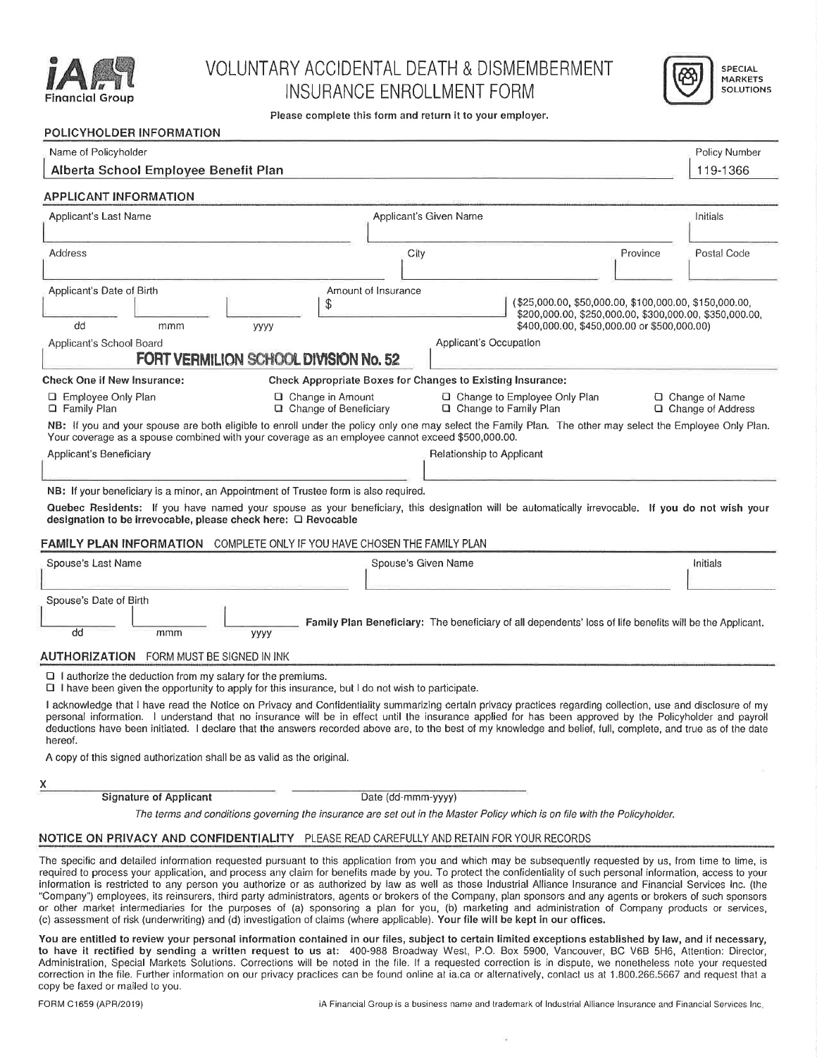

## VOLUNTARY ACCIDENTAL DEATH & DISMEMBERMENT INSURANCE ENROLLMENT FORM **IVERSIDE**



Please complete this form and return it to your employer.

| POLICYHOLDER INFORMATION                                                                                                                                                                                                                                                                                                                                                                                                                                                                                                                                                                                                                                                                                                                                         |                                                                                                                         |                                                                                                                                                                  |                                         |  |  |  |
|------------------------------------------------------------------------------------------------------------------------------------------------------------------------------------------------------------------------------------------------------------------------------------------------------------------------------------------------------------------------------------------------------------------------------------------------------------------------------------------------------------------------------------------------------------------------------------------------------------------------------------------------------------------------------------------------------------------------------------------------------------------|-------------------------------------------------------------------------------------------------------------------------|------------------------------------------------------------------------------------------------------------------------------------------------------------------|-----------------------------------------|--|--|--|
| Name of Policyholder                                                                                                                                                                                                                                                                                                                                                                                                                                                                                                                                                                                                                                                                                                                                             |                                                                                                                         |                                                                                                                                                                  |                                         |  |  |  |
| Alberta School Employee Benefit Plan                                                                                                                                                                                                                                                                                                                                                                                                                                                                                                                                                                                                                                                                                                                             |                                                                                                                         |                                                                                                                                                                  |                                         |  |  |  |
| <b>APPLICANT INFORMATION</b>                                                                                                                                                                                                                                                                                                                                                                                                                                                                                                                                                                                                                                                                                                                                     |                                                                                                                         |                                                                                                                                                                  |                                         |  |  |  |
| Applicant's Last Name                                                                                                                                                                                                                                                                                                                                                                                                                                                                                                                                                                                                                                                                                                                                            | Applicant's Given Name                                                                                                  |                                                                                                                                                                  | Initials                                |  |  |  |
| Address                                                                                                                                                                                                                                                                                                                                                                                                                                                                                                                                                                                                                                                                                                                                                          | City                                                                                                                    | Province                                                                                                                                                         | Postal Code                             |  |  |  |
| Applicant's Date of Birth<br>\$<br>dd<br>mmm<br>уууу<br>Applicant's School Board<br>FORT VERMILION SCHOOL DIVISION No. 52                                                                                                                                                                                                                                                                                                                                                                                                                                                                                                                                                                                                                                        | Amount of Insurance<br>Applicant's Occupation                                                                           | (\$25,000.00, \$50,000.00, \$100,000.00, \$150,000.00,<br>\$200,000.00, \$250,000.00, \$300,000.00, \$350,000.00,<br>\$400,000.00, \$450,000.00 or \$500,000.00) |                                         |  |  |  |
| <b>Check One if New Insurance:</b><br>□ Employee Only Plan<br>□ Change in Amount<br><b>Q</b> Family Plan<br>Change of Beneficiary<br>NB: If you and your spouse are both eligible to enroll under the policy only one may select the Family Plan. The other may select the Employee Only Plan.<br>Your coverage as a spouse combined with your coverage as an employee cannot exceed \$500,000.00.<br>Applicant's Beneficiary                                                                                                                                                                                                                                                                                                                                    | Check Appropriate Boxes for Changes to Existing Insurance:<br>$\Box$ Change to Family Plan<br>Relationship to Applicant | □ Change to Employee Only Plan                                                                                                                                   | □ Change of Name<br>□ Change of Address |  |  |  |
| NB: If your beneficiary is a minor, an Appointment of Trustee form is also required.<br>Quebec Residents: If you have named your spouse as your beneficiary, this designation will be automatically irrevocable. If you do not wish your<br>designation to be irrevocable, please check here: □ Revocable<br><b>FAMILY PLAN INFORMATION</b> COMPLETE ONLY IF YOU HAVE CHOSEN THE FAMILY PLAN                                                                                                                                                                                                                                                                                                                                                                     |                                                                                                                         |                                                                                                                                                                  |                                         |  |  |  |
| Spouse's Last Name                                                                                                                                                                                                                                                                                                                                                                                                                                                                                                                                                                                                                                                                                                                                               | Spouse's Given Name                                                                                                     |                                                                                                                                                                  | Initials                                |  |  |  |
| Spouse's Date of Birth<br>dd<br>mmm<br>уууу<br><b>AUTHORIZATION</b> FORM MUST BE SIGNED IN INK                                                                                                                                                                                                                                                                                                                                                                                                                                                                                                                                                                                                                                                                   |                                                                                                                         | Family Plan Beneficiary: The beneficiary of all dependents' loss of life benefits will be the Applicant.                                                         |                                         |  |  |  |
| $\Box$ I authorize the deduction from my salary for the premiums.<br>$\Box$ I have been given the opportunity to apply for this insurance, but I do not wish to participate.<br>I acknowledge that I have read the Notice on Privacy and Confidentiality summarizing certain privacy practices regarding collection, use and disclosure of my<br>personal information. I understand that no insurance will be in effect until the insurance applied for has been approved by the Policyholder and payroll<br>deductions have been initiated. I declare that the answers recorded above are, to the best of my knowledge and belief, full, complete, and true as of the date<br>hereof.<br>A copy of this signed authorization shall be as valid as the original. |                                                                                                                         |                                                                                                                                                                  |                                         |  |  |  |
| x                                                                                                                                                                                                                                                                                                                                                                                                                                                                                                                                                                                                                                                                                                                                                                |                                                                                                                         |                                                                                                                                                                  |                                         |  |  |  |
| <b>Signature of Applicant</b><br>Date (dd-mmm-yyyy)<br>The terms and conditions governing the insurance are set out in the Master Policy which is on file with the Policyholder.                                                                                                                                                                                                                                                                                                                                                                                                                                                                                                                                                                                 |                                                                                                                         |                                                                                                                                                                  |                                         |  |  |  |
| NOTICE ON PRIVACY AND CONFIDENTIALITY PLEASE READ CAREFULLY AND RETAIN FOR YOUR RECORDS                                                                                                                                                                                                                                                                                                                                                                                                                                                                                                                                                                                                                                                                          |                                                                                                                         |                                                                                                                                                                  |                                         |  |  |  |
| The specific and detailed information requested pursuant to this application from you and which may be subsequently requested by us from time to time is                                                                                                                                                                                                                                                                                                                                                                                                                                                                                                                                                                                                         |                                                                                                                         |                                                                                                                                                                  |                                         |  |  |  |

The specific and detailed information requested pursuant to this application from you and which may be subsequently requested by us, from time to time, i required to process your application, and process any claim for benefits made by you. To protect the confidentiality of such personal information, access to your information is restricted to any person you authorize or as authorized by law as we11 as those industrial Alliance Insurance and Financial Services Inc. (the "Company") employees, its reinsurers, third party administrators, agents or brokers of the Company, plan sponsors and any agents or brokers of such sponsors or other market intermediaries for the purposes of (a) sponsoring a plan for you, (b) marketing and administration of Company products or service (c) assessment of risk (underwriting) and (d) investigation of claims (where applicable). Your file will be kept in our offices.

You are entitled to review your personal information contained in our files, subject to certain limited exceptions established by law, and if necessary, to have it rectified by sending a written request to us at: 400-988 Broadway West, P.O. Box 5900, Vancouver, BC V6B 5H6, Attention: Directo Administration, Special Markets Solutions. Corrections will be noted in the file. If <sup>a</sup> requested correction is in dispute, we nonetheless note your requested correction in the file. Further information on our privacy praclices can be found online at ia.ca or alternatively, contact us at 1.800.266.5667 and request that <sup>a</sup> copy be fa×ed or mailed to you.